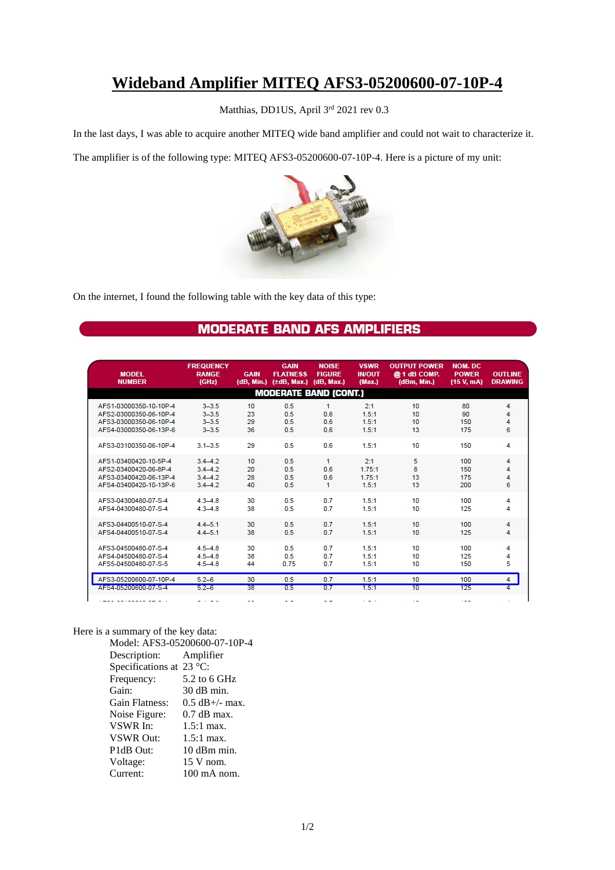## **Wideband Amplifier MITEQ AFS3-05200600-07-10P-4**

Matthias, DD1US, April 3rd 2021 rev 0.3

In the last days, I was able to acquire another MITEQ wide band amplifier and could not wait to characterize it.

The amplifier is of the following type: MITEQ AFS3-05200600-07-10P-4. Here is a picture of my unit:



On the internet, I found the following table with the key data of this type:

## **MODERATE BAND AFS AMPLIFIERS**

| <b>MODEL</b><br><b>NUMBER</b>                                                                        | <b>FREQUENCY</b><br><b>RANGE</b><br>(GHz)            | <b>GAIN</b><br>(dB. Min.) | <b>GAIN</b><br><b>FLATNESS</b><br>(ttdB, Max.) | <b>NOISE</b><br><b>FIGURE</b><br>(dB. Max.) | <b>VSWR</b><br><b>IN/OUT</b><br>(Max.) | <b>OUTPUT POWER</b><br>@ 1 dB COMP.<br>(dBm, Min.) | <b>NOM. DC</b><br><b>POWER</b><br>(15 V, mA) | <b>OUTLINE</b><br><b>DRAWING</b> |
|------------------------------------------------------------------------------------------------------|------------------------------------------------------|---------------------------|------------------------------------------------|---------------------------------------------|----------------------------------------|----------------------------------------------------|----------------------------------------------|----------------------------------|
| <b>MODERATE BAND (CONT.)</b>                                                                         |                                                      |                           |                                                |                                             |                                        |                                                    |                                              |                                  |
| AFS1-03000350-10-10P-4<br>AFS2-03000350-06-10P-4<br>AFS3-03000350-06-10P-4<br>AFS4-03000350-06-13P-6 | $3 - 3.5$<br>$3 - 3.5$<br>$3 - 3.5$<br>$3 - 3.5$     | 10<br>23<br>29<br>36      | 0.5<br>0.5<br>0.5<br>0.5                       | 1<br>0.6<br>0.6<br>0.6                      | 2:1<br>1.5:1<br>1.5:1<br>1.5:1         | 10<br>10<br>10<br>13                               | 80<br>90<br>150<br>175                       | 4<br>4<br>4<br>6                 |
| AFS3-03100350-06-10P-4                                                                               | $3.1 - 3.5$                                          | 29                        | 0.5                                            | 0.6                                         | 1.5:1                                  | 10                                                 | 150                                          | 4                                |
| AFS1-03400420-10-5P-4<br>AFS2-03400420-06-8P-4<br>AFS3-03400420-06-13P-4<br>AFS4-03400420-10-13P-6   | $3.4 - 4.2$<br>$3.4 - 4.2$<br>$3.4 - 4.2$<br>$34-42$ | 10<br>20<br>28<br>40      | 0.5<br>0.5<br>0.5<br>0.5                       | $\mathbf{1}$<br>0.6<br>0.6<br>1             | 2:1<br>1.75:1<br>1.75:1<br>1.5:1       | 5<br>8<br>13<br>13                                 | 100<br>150<br>175<br>200                     | 4<br>4<br>4<br>6                 |
| AFS3-04300480-07-S-4<br>AFS4-04300480-07-S-4                                                         | $4.3 - 4.8$<br>$4.3 - 4.8$                           | 30<br>38                  | 0.5<br>0.5                                     | 07<br>0.7                                   | 1.5:1<br>1.5:1                         | 10<br>10                                           | 100<br>125                                   | 4<br>4                           |
| AFS3-04400510-07-S-4<br>AFS4-04400510-07-S-4                                                         | $44 - 5.1$<br>$4.4 - 5.1$                            | 30<br>38                  | 0.5<br>0.5                                     | 0.7<br>0.7                                  | 1.5:1<br>1.5:1                         | 10<br>10                                           | 100<br>125                                   | 4<br>4                           |
| AFS3-04500480-07-S-4<br>AFS4-04500480-07-S-4<br>AFS5-04500480-07-S-5                                 | $45 - 48$<br>$45 - 48$<br>$4.5 - 4.8$                | 30<br>38<br>44            | 0.5<br>0.5<br>0.75                             | 0.7<br>0.7<br>0.7                           | 1.5:1<br>1.5:1<br>1.5:1                | 10<br>10<br>10                                     | 100<br>125<br>150                            | 4<br>4<br>5                      |
| AFS3-05200600-07-10P-4                                                                               | $5.2 - 6$                                            | 30                        | 0.5                                            | 0.7                                         | 1.5:1                                  | 10                                                 | 100                                          | 4                                |
| A ESSE LIST QUE DE L'ASSE I                                                                          | $5.2 - 6$                                            | 38                        | 0.5                                            | 0.7                                         | 1.5.1                                  | 10                                                 | 125                                          | 4                                |
| -----------                                                                                          | - - - -                                              | $-1$                      | $ -$                                           | $-$                                         | $  -$                                  | $\cdot$ .                                          | $-$                                          |                                  |

Here is a summary of the key data:

Model: AFS3-05200600-07-10P-4 Description: Amplifier Specifications at 23 °C: Frequency: 5.2 to 6 GHz Gain: 30 dB min. Gain Flatness: 0.5 dB+/- max.<br>Noise Figure: 0.7 dB max. Noise Figure: VSWR In: 1.5:1 max. VSWR Out: 1.5:1 max. P1dB Out: 10 dBm min. Voltage: 15 V nom. Current: 100 mA nom.